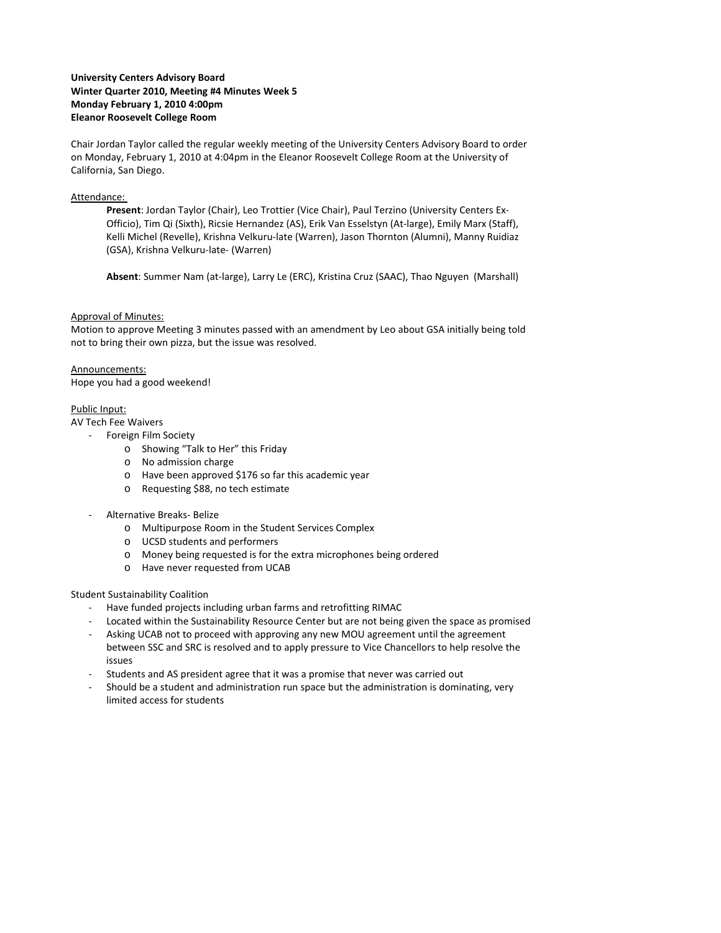# **University Centers Advisory Board Winter Quarter 2010, Meeting #4 Minutes Week 5 Monday February 1, 2010 4:00pm Eleanor Roosevelt College Room**

Chair Jordan Taylor called the regular weekly meeting of the University Centers Advisory Board to order on Monday, February 1, 2010 at 4:04pm in the Eleanor Roosevelt College Room at the University of California, San Diego.

### Attendance:

**Present**: Jordan Taylor (Chair), Leo Trottier (Vice Chair), Paul Terzino (University Centers Ex‐ Officio), Tim Qi (Sixth), Ricsie Hernandez (AS), Erik Van Esselstyn (At‐large), Emily Marx (Staff), Kelli Michel (Revelle), Krishna Velkuru‐late (Warren), Jason Thornton (Alumni), Manny Ruidiaz (GSA), Krishna Velkuru‐late‐ (Warren)

**Absent**: Summer Nam (at‐large), Larry Le (ERC), Kristina Cruz (SAAC), Thao Nguyen (Marshall)

#### Approval of Minutes:

Motion to approve Meeting 3 minutes passed with an amendment by Leo about GSA initially being told not to bring their own pizza, but the issue was resolved.

# Announcements:

Hope you had a good weekend!

## Public Input:

AV Tech Fee Waivers

- ‐ Foreign Film Society
	- o Showing "Talk to Her" this Friday
	- o No admission charge
	- o Have been approved \$176 so far this academic year
	- o Requesting \$88, no tech estimate
- ‐ Alternative Breaks‐ Belize
	- o Multipurpose Room in the Student Services Complex
	- o UCSD students and performers
	- o Money being requested is for the extra microphones being ordered
	- o Have never requested from UCAB

## Student Sustainability Coalition

- ‐ Have funded projects including urban farms and retrofitting RIMAC
- ‐ Located within the Sustainability Resource Center but are not being given the space as promised
- ‐ Asking UCAB not to proceed with approving any new MOU agreement until the agreement between SSC and SRC is resolved and to apply pressure to Vice Chancellors to help resolve the issues
- ‐ Students and AS president agree that it was a promise that never was carried out
- Should be a student and administration run space but the administration is dominating, very limited access for students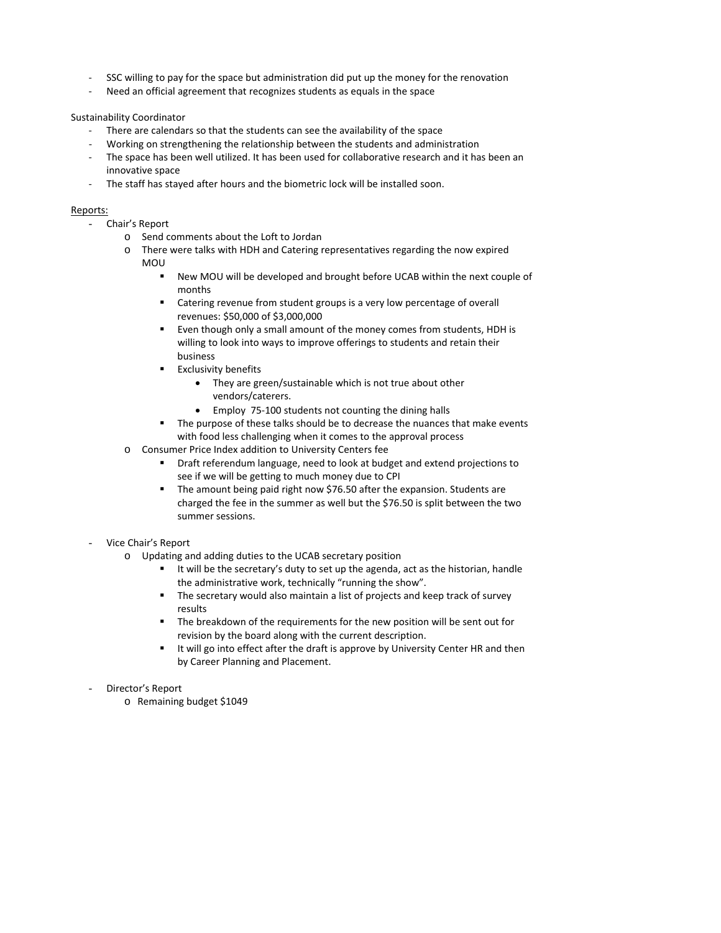- SSC willing to pay for the space but administration did put up the money for the renovation
- Need an official agreement that recognizes students as equals in the space

#### Sustainability Coordinator

- ‐ There are calendars so that the students can see the availability of the space
- ‐ Working on strengthening the relationship between the students and administration
- ‐ The space has been well utilized. It has been used for collaborative research and it has been an innovative space
- The staff has stayed after hours and the biometric lock will be installed soon.

#### Reports:

- Chair's Report
	- o Send comments about the Loft to Jordan
	- o There were talks with HDH and Catering representatives regarding the now expired MOU
		- New MOU will be developed and brought before UCAB within the next couple of months
		- Catering revenue from student groups is a very low percentage of overall revenues: \$50,000 of \$3,000,000
		- Even though only a small amount of the money comes from students, HDH is willing to look into ways to improve offerings to students and retain their business
		- **Exclusivity benefits** 
			- They are green/sustainable which is not true about other vendors/caterers.
			- Employ 75-100 students not counting the dining halls
		- The purpose of these talks should be to decrease the nuances that make events with food less challenging when it comes to the approval process
	- o Consumer Price Index addition to University Centers fee
		- Draft referendum language, need to look at budget and extend projections to see if we will be getting to much money due to CPI
		- The amount being paid right now \$76.50 after the expansion. Students are charged the fee in the summer as well but the \$76.50 is split between the two summer sessions.

## - Vice Chair's Report

- o Updating and adding duties to the UCAB secretary position
	- It will be the secretary's duty to set up the agenda, act as the historian, handle the administrative work, technically "running the show".
	- **The secretary would also maintain a list of projects and keep track of survey** results
	- The breakdown of the requirements for the new position will be sent out for revision by the board along with the current description.
	- **If will go into effect after the draft is approve by University Center HR and then** by Career Planning and Placement.
- Director's Report
	- o Remaining budget \$1049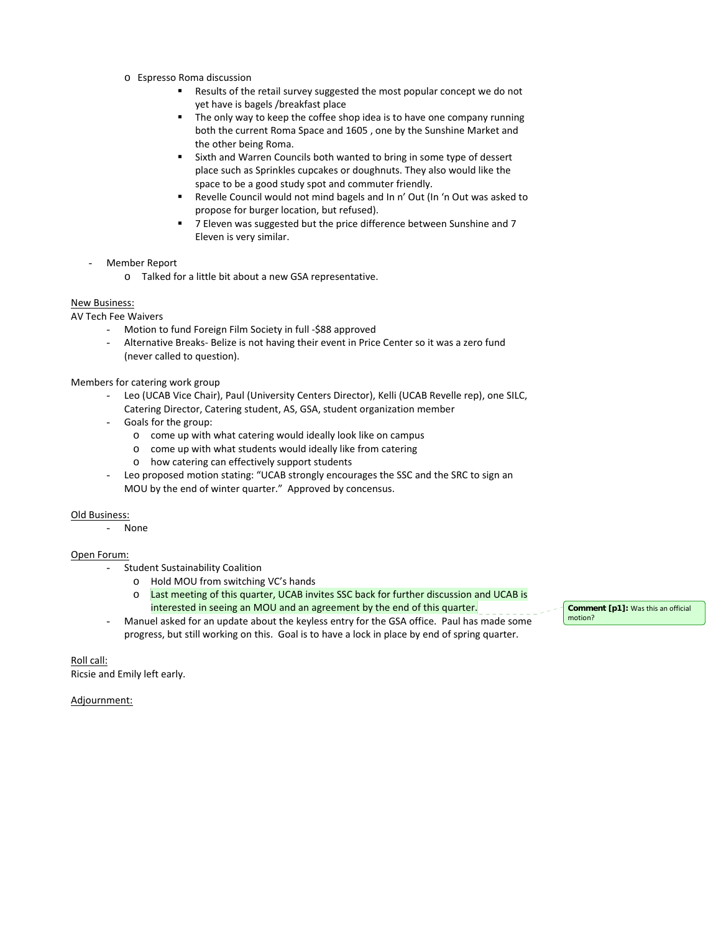- o Espresso Roma discussion
	- Results of the retail survey suggested the most popular concept we do not yet have is bagels /breakfast place
	- **The only way to keep the coffee shop idea is to have one company running** both the current Roma Space and 1605 , one by the Sunshine Market and the other being Roma.
	- Sixth and Warren Councils both wanted to bring in some type of dessert place such as Sprinkles cupcakes or doughnuts. They also would like the space to be a good study spot and commuter friendly.
	- Revelle Council would not mind bagels and In n' Out (In 'n Out was asked to propose for burger location, but refused).
	- 7 Eleven was suggested but the price difference between Sunshine and 7 Eleven is very similar.
- Member Report
	- o Talked for a little bit about a new GSA representative.

## New Business:

AV Tech Fee Waivers

- Motion to fund Foreign Film Society in full -\$88 approved
- Alternative Breaks- Belize is not having their event in Price Center so it was a zero fund (never called to question).

Members for catering work group

- Leo (UCAB Vice Chair), Paul (University Centers Director), Kelli (UCAB Revelle rep), one SILC, Catering Director, Catering student, AS, GSA, student organization member
- Goals for the group:
	- o come up with what catering would ideally look like on campus
	- o come up with what students would ideally like from catering
	- o how catering can effectively support students
- Leo proposed motion stating: "UCAB strongly encourages the SSC and the SRC to sign an MOU by the end of winter quarter." Approved by concensus.

## Old Business:

- None

## Open Forum:

- Student Sustainability Coalition
	- o Hold MOU from switching VC's hands
	- o Last meeting of this quarter, UCAB invites SSC back for further discussion and UCAB is interested in seeing an MOU and an agreement by the end of this quarter.
- Manuel asked for an update about the keyless entry for the GSA office. Paul has made some progress, but still working on this. Goal is to have a lock in place by end of spring quarter.

**Comment [p1]:** Was this an official motion?

Roll call: Ricsie and Emily left early.

Adjournment: